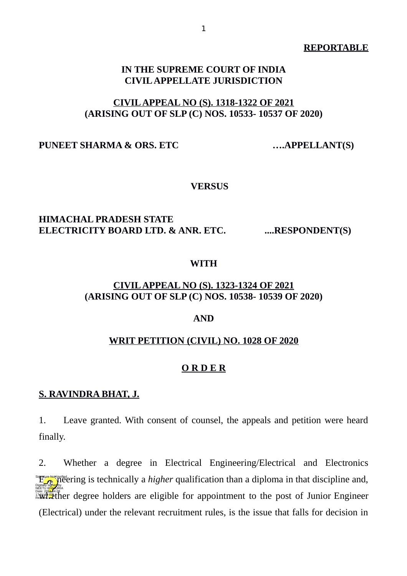#### **REPORTABLE**

## **IN THE SUPREME COURT OF INDIA CIVIL APPELLATE JURISDICTION**

# **CIVIL APPEAL NO (S). 1318-1322 OF 2021 (ARISING OUT OF SLP (C) NOS. 10533- 10537 OF 2020)**

### PUNEET SHARMA & ORS. ETC .....APPELLANT(S)

#### **VERSUS**

## **HIMACHAL PRADESH STATE** ELECTRICITY BOARD LTD. & ANR. ETC. .....RESPONDENT(S)

#### **WITH**

## **CIVIL APPEAL NO (S). 1323-1324 OF 2021 (ARISING OUT OF SLP (C) NOS. 10538- 10539 OF 2020)**

### **AND**

### **WRIT PETITION (CIVIL) NO. 1028 OF 2020**

#### **O R D E R**

#### **S. RAVINDRA BHAT, J.**

1. Leave granted. With consent of counsel, the appeals and petition were heard finally.

2. Whether a degree in Electrical Engineering/Electrical and Electronics **Engineering is technically a** *higher* **qualification than a diploma in that discipline and,**<br>Digitally signed by parameter degree holders are eligible for appointment to the post of Junior Engineer (Electrical) under the relevant recruitment rules, is the issue that falls for decision in NEETU KHAJURIA Signature Not Verified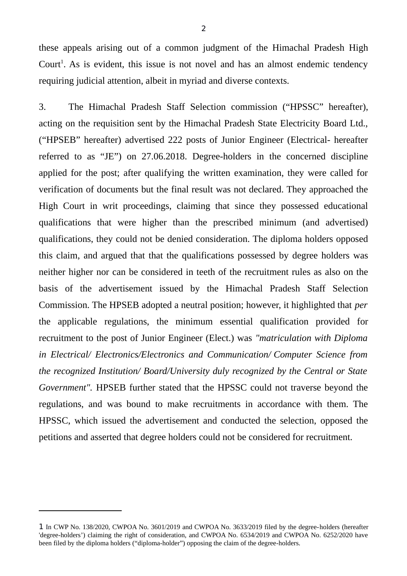these appeals arising out of a common judgment of the Himachal Pradesh High Court<sup>[1](#page-1-0)</sup>. As is evident, this issue is not novel and has an almost endemic tendency requiring judicial attention, albeit in myriad and diverse contexts.

3. The Himachal Pradesh Staff Selection commission ("HPSSC" hereafter), acting on the requisition sent by the Himachal Pradesh State Electricity Board Ltd., ("HPSEB" hereafter) advertised 222 posts of Junior Engineer (Electrical- hereafter referred to as "JE") on 27.06.2018. Degree-holders in the concerned discipline applied for the post; after qualifying the written examination, they were called for verification of documents but the final result was not declared. They approached the High Court in writ proceedings, claiming that since they possessed educational qualifications that were higher than the prescribed minimum (and advertised) qualifications, they could not be denied consideration. The diploma holders opposed this claim, and argued that that the qualifications possessed by degree holders was neither higher nor can be considered in teeth of the recruitment rules as also on the basis of the advertisement issued by the Himachal Pradesh Staff Selection Commission. The HPSEB adopted a neutral position; however, it highlighted that *per* the applicable regulations, the minimum essential qualification provided for recruitment to the post of Junior Engineer (Elect.) was *"matriculation with Diploma in Electrical/ Electronics/Electronics and Communication/ Computer Science from the recognized Institution/ Board/University duly recognized by the Central or State Government".* HPSEB further stated that the HPSSC could not traverse beyond the regulations, and was bound to make recruitments in accordance with them. The HPSSC, which issued the advertisement and conducted the selection, opposed the petitions and asserted that degree holders could not be considered for recruitment.

<span id="page-1-0"></span><sup>1</sup> In CWP No. 138/2020, CWPOA No. 3601/2019 and CWPOA No. 3633/2019 filed by the degree-holders (hereafter 'degree-holders') claiming the right of consideration, and CWPOA No. 6534/2019 and CWPOA No. 6252/2020 have been filed by the diploma holders ("diploma-holder") opposing the claim of the degree-holders.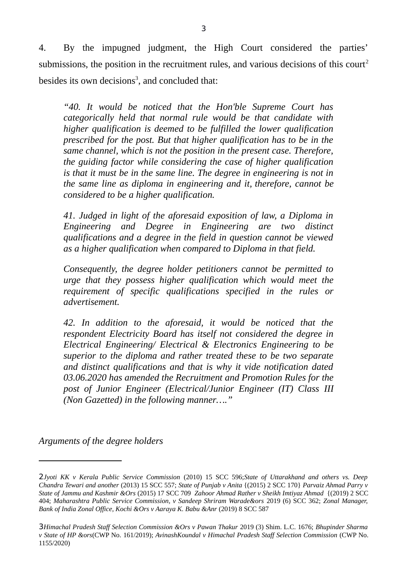4. By the impugned judgment, the High Court considered the parties' submissions, the position in the recruitment rules, and various decisions of this court<sup>[2](#page-2-0)</sup> besides its own decisions<sup>[3](#page-2-1)</sup>, and concluded that:

*"40. It would be noticed that the Hon'ble Supreme Court has categorically held that normal rule would be that candidate with higher qualification is deemed to be fulfilled the lower qualification prescribed for the post. But that higher qualification has to be in the same channel, which is not the position in the present case. Therefore, the guiding factor while considering the case of higher qualification is that it must be in the same line. The degree in engineering is not in the same line as diploma in engineering and it, therefore, cannot be considered to be a higher qualification.*

*41. Judged in light of the aforesaid exposition of law, a Diploma in Engineering and Degree in Engineering are two distinct qualifications and a degree in the field in question cannot be viewed as a higher qualification when compared to Diploma in that field.*

*Consequently, the degree holder petitioners cannot be permitted to urge that they possess higher qualification which would meet the requirement of specific qualifications specified in the rules or advertisement.*

*42. In addition to the aforesaid, it would be noticed that the respondent Electricity Board has itself not considered the degree in Electrical Engineering/ Electrical & Electronics Engineering to be superior to the diploma and rather treated these to be two separate and distinct qualifications and that is why it vide notification dated 03.06.2020 has amended the Recruitment and Promotion Rules for the post of Junior Engineer (Electrical/Junior Engineer (IT) Class III (Non Gazetted) in the following manner…."*

*Arguments of the degree holders*

<span id="page-2-0"></span><sup>2</sup>*Jyoti KK v Kerala Public Service Commission* (2010) 15 SCC 596;*State of Uttarakhand and others vs. Deep Chandra Tewari and another* (2013) 15 SCC 557; *State of Punjab v Anita* {(2015) 2 SCC 170} *Parvaiz Ahmad Parry v State of Jammu and Kashmir &Ors* (2015) 17 SCC 709 *Zahoor Ahmad Rather v Sheikh Imtiyaz Ahmad* {(2019) 2 SCC 404; *Maharashtra Public Service Commission, v Sandeep Shriram Warade&ors* 2019 (6) SCC 362; *Zonal Manager, Bank of India Zonal Office, Kochi &Ors v Aaraya K. Babu &Anr* (2019) 8 SCC 587

<span id="page-2-1"></span><sup>3</sup>*Himachal Pradesh Staff Selection Commission &Ors v Pawan Thakur* 2019 (3) Shim. L.C. 1676; *Bhupinder Sharma v State of HP &ors*(CWP No. 161/2019); *AvinashKoundal v Himachal Pradesh Staff Selection Commission* (CWP No. 1155/2020)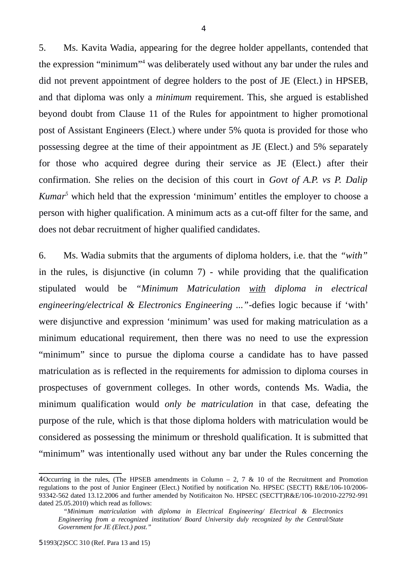5. Ms. Kavita Wadia, appearing for the degree holder appellants, contended that the expression "minimum"<sup>[4](#page-3-0)</sup> was deliberately used without any bar under the rules and did not prevent appointment of degree holders to the post of JE (Elect.) in HPSEB, and that diploma was only a *minimum* requirement. This, she argued is established beyond doubt from Clause 11 of the Rules for appointment to higher promotional post of Assistant Engineers (Elect.) where under 5% quota is provided for those who possessing degree at the time of their appointment as JE (Elect.) and 5% separately for those who acquired degree during their service as JE (Elect.) after their confirmation. She relies on the decision of this court in *Govt of A.P. vs P. Dalip Kumar[5](#page-3-1)* which held that the expression 'minimum' entitles the employer to choose a person with higher qualification. A minimum acts as a cut-off filter for the same, and does not debar recruitment of higher qualified candidates.

6. Ms. Wadia submits that the arguments of diploma holders, i.e. that the *"with"* in the rules, is disjunctive (in column 7) - while providing that the qualification stipulated would be *"Minimum Matriculation with diploma in electrical engineering/electrical & Electronics Engineering ..."*-defies logic because if 'with' were disjunctive and expression 'minimum' was used for making matriculation as a minimum educational requirement, then there was no need to use the expression "minimum" since to pursue the diploma course a candidate has to have passed matriculation as is reflected in the requirements for admission to diploma courses in prospectuses of government colleges. In other words, contends Ms. Wadia, the minimum qualification would *only be matriculation* in that case, defeating the purpose of the rule, which is that those diploma holders with matriculation would be considered as possessing the minimum or threshold qualification. It is submitted that "minimum" was intentionally used without any bar under the Rules concerning the

<span id="page-3-0"></span><sup>4</sup>Occurring in the rules, (The HPSEB amendments in Column – 2, 7 & 10 of the Recruitment and Promotion regulations to the post of Junior Engineer (Elect.) Notified by notification No. HPSEC (SECTT) R&E/106-10/2006- 93342-562 dated 13.12.2006 and further amended by Notificaiton No. HPSEC (SECTT)R&E/106-10/2010-22792-991 dated 25.05.2010) which read as follows:

<span id="page-3-1"></span>*<sup>&</sup>quot;Minimum matriculation with diploma in Electrical Engineering/ Electrical & Electronics Engineering from a recognized institution/ Board University duly recognized by the Central/State Government for JE (Elect.) post."*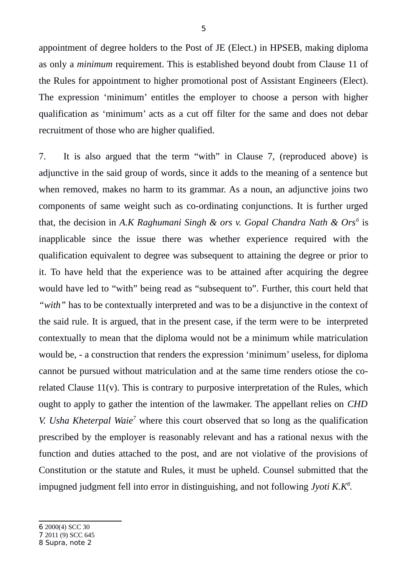appointment of degree holders to the Post of JE (Elect.) in HPSEB, making diploma as only a *minimum* requirement. This is established beyond doubt from Clause 11 of the Rules for appointment to higher promotional post of Assistant Engineers (Elect). The expression 'minimum' entitles the employer to choose a person with higher qualification as 'minimum' acts as a cut off filter for the same and does not debar recruitment of those who are higher qualified.

7. It is also argued that the term "with" in Clause 7, (reproduced above) is adjunctive in the said group of words, since it adds to the meaning of a sentence but when removed, makes no harm to its grammar. As a noun, an adjunctive joins two components of same weight such as co-ordinating conjunctions. It is further urged that*,* the decision in *A.K Raghumani Singh & ors v. Gopal Chandra Nath & Ors[6](#page-4-0)* is inapplicable since the issue there was whether experience required with the qualification equivalent to degree was subsequent to attaining the degree or prior to it. To have held that the experience was to be attained after acquiring the degree would have led to "with" being read as "subsequent to". Further, this court held that *"with"* has to be contextually interpreted and was to be a disjunctive in the context of the said rule. It is argued, that in the present case, if the term were to be interpreted contextually to mean that the diploma would not be a minimum while matriculation would be, - a construction that renders the expression 'minimum' useless, for diploma cannot be pursued without matriculation and at the same time renders otiose the corelated Clause  $11(v)$ . This is contrary to purposive interpretation of the Rules, which ought to apply to gather the intention of the lawmaker. The appellant relies on *CHD V. Usha Kheterpal Waie<sup>[7](#page-4-1)</sup>* where this court observed that so long as the qualification prescribed by the employer is reasonably relevant and has a rational nexus with the function and duties attached to the post, and are not violative of the provisions of Constitution or the statute and Rules, it must be upheld. Counsel submitted that the impugned judgment fell into error in distinguishing, and not following *Jyoti K.K[8](#page-4-2) .*

<span id="page-4-0"></span><sup>6</sup> 2000(4) SCC 30 7 2011 (9) SCC 645

<span id="page-4-2"></span><span id="page-4-1"></span><sup>8</sup> Supra, note 2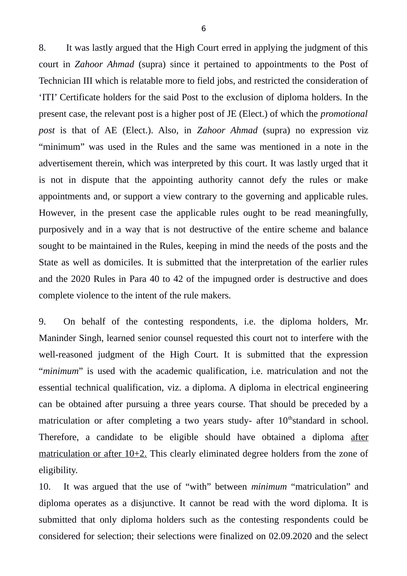8. It was lastly argued that the High Court erred in applying the judgment of this court in *Zahoor Ahmad* (supra) since it pertained to appointments to the Post of Technician III which is relatable more to field jobs, and restricted the consideration of 'ITI' Certificate holders for the said Post to the exclusion of diploma holders. In the present case, the relevant post is a higher post of JE (Elect.) of which the *promotional post* is that of AE (Elect.). Also, in *Zahoor Ahmad* (supra) no expression viz "minimum" was used in the Rules and the same was mentioned in a note in the advertisement therein, which was interpreted by this court. It was lastly urged that it is not in dispute that the appointing authority cannot defy the rules or make appointments and, or support a view contrary to the governing and applicable rules. However, in the present case the applicable rules ought to be read meaningfully, purposively and in a way that is not destructive of the entire scheme and balance sought to be maintained in the Rules, keeping in mind the needs of the posts and the State as well as domiciles. It is submitted that the interpretation of the earlier rules and the 2020 Rules in Para 40 to 42 of the impugned order is destructive and does complete violence to the intent of the rule makers.

9. On behalf of the contesting respondents, i.e. the diploma holders, Mr. Maninder Singh, learned senior counsel requested this court not to interfere with the well-reasoned judgment of the High Court. It is submitted that the expression "*minimum*" is used with the academic qualification, i.e. matriculation and not the essential technical qualification, viz. a diploma. A diploma in electrical engineering can be obtained after pursuing a three years course. That should be preceded by a matriculation or after completing a two years study- after  $10<sup>th</sup>$ standard in school. Therefore, a candidate to be eligible should have obtained a diploma after matriculation or after 10+2. This clearly eliminated degree holders from the zone of eligibility.

10. It was argued that the use of "with" between *minimum* "matriculation" and diploma operates as a disjunctive. It cannot be read with the word diploma. It is submitted that only diploma holders such as the contesting respondents could be considered for selection; their selections were finalized on 02.09.2020 and the select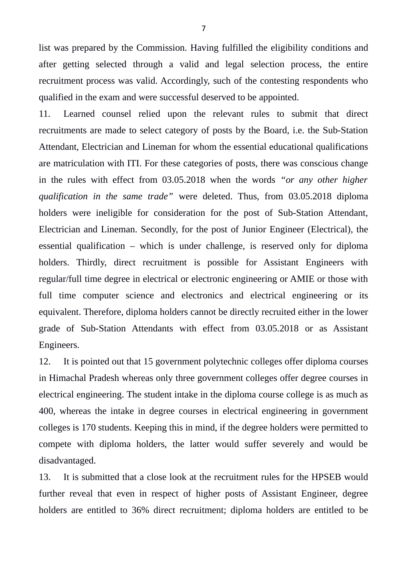list was prepared by the Commission. Having fulfilled the eligibility conditions and after getting selected through a valid and legal selection process, the entire recruitment process was valid. Accordingly, such of the contesting respondents who qualified in the exam and were successful deserved to be appointed.

11. Learned counsel relied upon the relevant rules to submit that direct recruitments are made to select category of posts by the Board, i.e. the Sub-Station Attendant, Electrician and Lineman for whom the essential educational qualifications are matriculation with ITI. For these categories of posts, there was conscious change in the rules with effect from 03.05.2018 when the words *"or any other higher qualification in the same trade"* were deleted. Thus, from 03.05.2018 diploma holders were ineligible for consideration for the post of Sub-Station Attendant, Electrician and Lineman. Secondly, for the post of Junior Engineer (Electrical), the essential qualification – which is under challenge, is reserved only for diploma holders. Thirdly, direct recruitment is possible for Assistant Engineers with regular/full time degree in electrical or electronic engineering or AMIE or those with full time computer science and electronics and electrical engineering or its equivalent. Therefore, diploma holders cannot be directly recruited either in the lower grade of Sub-Station Attendants with effect from 03.05.2018 or as Assistant Engineers.

12. It is pointed out that 15 government polytechnic colleges offer diploma courses in Himachal Pradesh whereas only three government colleges offer degree courses in electrical engineering. The student intake in the diploma course college is as much as 400, whereas the intake in degree courses in electrical engineering in government colleges is 170 students. Keeping this in mind, if the degree holders were permitted to compete with diploma holders, the latter would suffer severely and would be disadvantaged.

13. It is submitted that a close look at the recruitment rules for the HPSEB would further reveal that even in respect of higher posts of Assistant Engineer, degree holders are entitled to 36% direct recruitment; diploma holders are entitled to be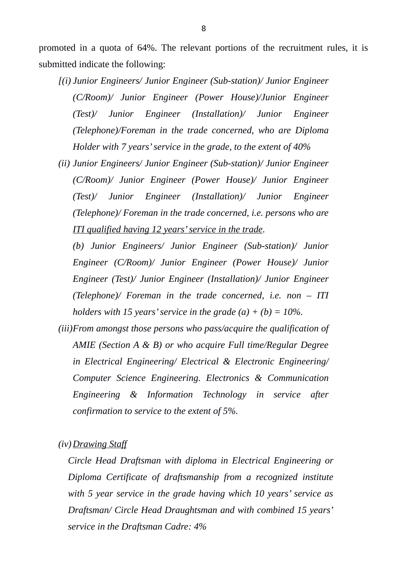promoted in a quota of 64%. The relevant portions of the recruitment rules, it is submitted indicate the following:

- *[(i) Junior Engineers/ Junior Engineer (Sub-station)/ Junior Engineer (C/Room)/ Junior Engineer (Power House)/Junior Engineer (Test)/ Junior Engineer (Installation)/ Junior Engineer (Telephone)/Foreman in the trade concerned, who are Diploma Holder with 7 years' service in the grade, to the extent of 40%*
- *(ii) Junior Engineers/ Junior Engineer (Sub-station)/ Junior Engineer (C/Room)/ Junior Engineer (Power House)/ Junior Engineer (Test)/ Junior Engineer (Installation)/ Junior Engineer (Telephone)/ Foreman in the trade concerned, i.e. persons who are ITI qualified having 12 years' service in the trade.*

*(b) Junior Engineers/ Junior Engineer (Sub-station)/ Junior Engineer (C/Room)/ Junior Engineer (Power House)/ Junior Engineer (Test)/ Junior Engineer (Installation)/ Junior Engineer (Telephone)/ Foreman in the trade concerned, i.e. non – ITI holders with 15 years' service in the grade (a) + (b) = 10%.*

*(iii)From amongst those persons who pass/acquire the qualification of AMIE (Section A & B) or who acquire Full time/Regular Degree in Electrical Engineering/ Electrical & Electronic Engineering/ Computer Science Engineering. Electronics & Communication Engineering & Information Technology in service after confirmation to service to the extent of 5%.*

*(iv)Drawing Staff*

*Circle Head Draftsman with diploma in Electrical Engineering or Diploma Certificate of draftsmanship from a recognized institute with 5 year service in the grade having which 10 years' service as Draftsman/ Circle Head Draughtsman and with combined 15 years' service in the Draftsman Cadre: 4%*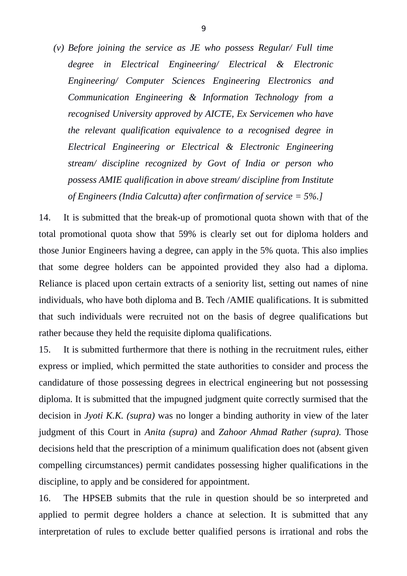*(v) Before joining the service as JE who possess Regular/ Full time degree in Electrical Engineering/ Electrical & Electronic Engineering/ Computer Sciences Engineering Electronics and Communication Engineering & Information Technology from a recognised University approved by AICTE, Ex Servicemen who have the relevant qualification equivalence to a recognised degree in Electrical Engineering or Electrical & Electronic Engineering stream/ discipline recognized by Govt of India or person who possess AMIE qualification in above stream/ discipline from Institute of Engineers (India Calcutta) after confirmation of service = 5%.]*

14. It is submitted that the break-up of promotional quota shown with that of the total promotional quota show that 59% is clearly set out for diploma holders and those Junior Engineers having a degree, can apply in the 5% quota. This also implies that some degree holders can be appointed provided they also had a diploma. Reliance is placed upon certain extracts of a seniority list, setting out names of nine individuals, who have both diploma and B. Tech /AMIE qualifications. It is submitted that such individuals were recruited not on the basis of degree qualifications but rather because they held the requisite diploma qualifications.

15. It is submitted furthermore that there is nothing in the recruitment rules, either express or implied, which permitted the state authorities to consider and process the candidature of those possessing degrees in electrical engineering but not possessing diploma. It is submitted that the impugned judgment quite correctly surmised that the decision in *Jyoti K.K. (supra)* was no longer a binding authority in view of the later judgment of this Court in *Anita (supra)* and *Zahoor Ahmad Rather (supra).* Those decisions held that the prescription of a minimum qualification does not (absent given compelling circumstances) permit candidates possessing higher qualifications in the discipline, to apply and be considered for appointment.

16. The HPSEB submits that the rule in question should be so interpreted and applied to permit degree holders a chance at selection. It is submitted that any interpretation of rules to exclude better qualified persons is irrational and robs the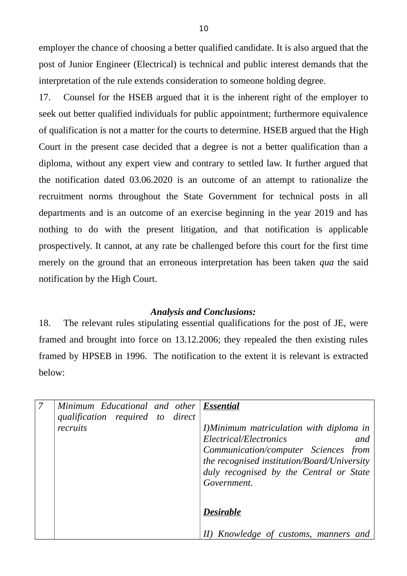employer the chance of choosing a better qualified candidate. It is also argued that the post of Junior Engineer (Electrical) is technical and public interest demands that the interpretation of the rule extends consideration to someone holding degree.

17. Counsel for the HSEB argued that it is the inherent right of the employer to seek out better qualified individuals for public appointment; furthermore equivalence of qualification is not a matter for the courts to determine. HSEB argued that the High Court in the present case decided that a degree is not a better qualification than a diploma, without any expert view and contrary to settled law. It further argued that the notification dated 03.06.2020 is an outcome of an attempt to rationalize the recruitment norms throughout the State Government for technical posts in all departments and is an outcome of an exercise beginning in the year 2019 and has nothing to do with the present litigation, and that notification is applicable prospectively. It cannot, at any rate be challenged before this court for the first time merely on the ground that an erroneous interpretation has been taken *qua* the said notification by the High Court.

# *Analysis and Conclusions:*

18. The relevant rules stipulating essential qualifications for the post of JE, were framed and brought into force on 13.12.2006; they repealed the then existing rules framed by HPSEB in 1996. The notification to the extent it is relevant is extracted below:

| Minimum Educational and other Essential<br>qualification required to direct |  |                                                                                                                                               |
|-----------------------------------------------------------------------------|--|-----------------------------------------------------------------------------------------------------------------------------------------------|
| recruits                                                                    |  | I)Minimum matriculation with diploma in<br>Electrical/Electronics<br>and                                                                      |
|                                                                             |  | Communication/computer Sciences from<br>the recognised institution/Board/University<br>duly recognised by the Central or State<br>Government. |
|                                                                             |  | <b>Desirable</b>                                                                                                                              |
|                                                                             |  | Knowledge of customs, manners and                                                                                                             |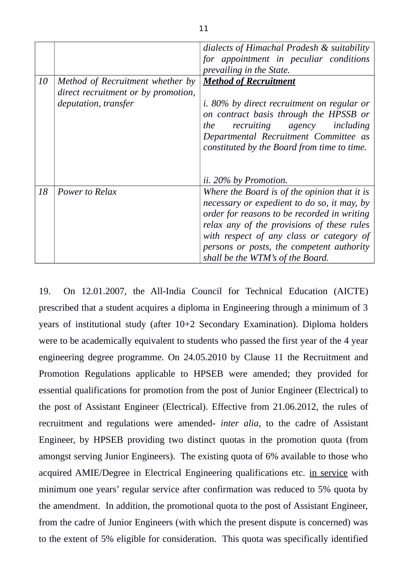|    |                                                                                                 | dialects of Himachal Pradesh & suitability<br>for appointment in peculiar conditions<br>prevailing in the State.                                                                                                                                                                                                      |
|----|-------------------------------------------------------------------------------------------------|-----------------------------------------------------------------------------------------------------------------------------------------------------------------------------------------------------------------------------------------------------------------------------------------------------------------------|
| 10 | Method of Recruitment whether by<br>direct recruitment or by promotion,<br>deputation, transfer | <b>Method of Recruitment</b><br><i>i.</i> 80% by direct recruitment on regular or<br>on contract basis through the HPSSB or<br>recruiting agency<br>including<br>the<br>Departmental Recruitment Committee as<br>constituted by the Board from time to time.                                                          |
|    |                                                                                                 | ii. 20% by Promotion.                                                                                                                                                                                                                                                                                                 |
| 18 | Power to Relax                                                                                  | Where the Board is of the opinion that it is<br>necessary or expedient to do so, it may, by<br>order for reasons to be recorded in writing<br>relax any of the provisions of these rules<br>with respect of any class or category of<br>persons or posts, the competent authority<br>shall be the WTM's of the Board. |

19. On 12.01.2007, the All-India Council for Technical Education (AICTE) prescribed that a student acquires a diploma in Engineering through a minimum of 3 years of institutional study (after 10+2 Secondary Examination). Diploma holders were to be academically equivalent to students who passed the first year of the 4 year engineering degree programme. On 24.05.2010 by Clause 11 the Recruitment and Promotion Regulations applicable to HPSEB were amended; they provided for essential qualifications for promotion from the post of Junior Engineer (Electrical) to the post of Assistant Engineer (Electrical). Effective from 21.06.2012, the rules of recruitment and regulations were amended- *inter alia,* to the cadre of Assistant Engineer, by HPSEB providing two distinct quotas in the promotion quota (from amongst serving Junior Engineers). The existing quota of 6% available to those who acquired AMIE/Degree in Electrical Engineering qualifications etc. in service with minimum one years' regular service after confirmation was reduced to 5% quota by the amendment. In addition, the promotional quota to the post of Assistant Engineer, from the cadre of Junior Engineers (with which the present dispute is concerned) was to the extent of 5% eligible for consideration. This quota was specifically identified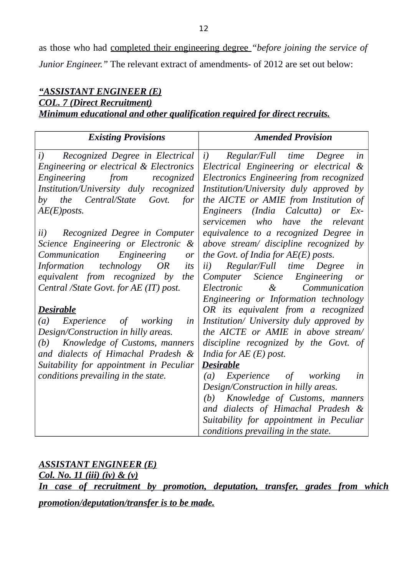as those who had completed their engineering degree *"before joining the service of Junior Engineer."* The relevant extract of amendments- of 2012 are set out below:

# *"ASSISTANT ENGINEER (E) COL. 7 (Direct Recruitment) Minimum educational and other qualification required for direct recruits.*

| <b>Existing Provisions</b>                           | <b>Amended Provision</b>                         |
|------------------------------------------------------|--------------------------------------------------|
| Recognized Degree in Electrical<br>i)                | i)<br>Regular/Full time Degree<br>in             |
| Engineering or electrical & Electronics              | Electrical Engineering or electrical &           |
| Engineering<br>from<br>recognized                    | Electronics Engineering from recognized          |
| Institution/University duly recognized               | Institution/University duly approved by          |
| Central/State<br>Govt.<br>the<br>for<br>by           | the AICTE or AMIE from Institution of            |
| $AE(E)$ posts.                                       | Engineers (India Calcutta)<br>$Ex-$<br><i>or</i> |
|                                                      | servicemen who have the<br>relevant              |
| Recognized Degree in Computer<br>ii)                 | equivalence to a recognized Degree in            |
| Science Engineering or Electronic &                  | above stream/ discipline recognized by           |
| Communication<br>Engineering<br>or                   | the Govt. of India for $AE(E)$ posts.            |
| technology<br><b>OR</b><br><b>Information</b><br>its | Regular/Full time<br>Degree<br>ii)<br>in         |
| equivalent from recognized by<br>the                 | Computer Science<br>Engineering<br>or            |
| Central /State Govt. for AE (IT) post.               | $\&$<br>Electronic<br>Communication              |
|                                                      | Engineering or Information technology            |
| <b>Desirable</b>                                     | OR its equivalent from a recognized              |
| Experience of working<br>(a)<br>in                   | Institution/ University duly approved by         |
| Design/Construction in hilly areas.                  | the AICTE or AMIE in above stream/               |
| Knowledge of Customs, manners<br>(b)                 | discipline recognized by the Govt. of            |
| and dialects of Himachal Pradesh &                   | India for $AE(E)$ post.                          |
| Suitability for appointment in Peculiar              | <b>Desirable</b>                                 |
| conditions prevailing in the state.                  | Experience of working<br>(a)<br>in               |
|                                                      | Design/Construction in hilly areas.              |
|                                                      | Knowledge of Customs, manners<br>(b)             |
|                                                      | and dialects of Himachal Pradesh &               |
|                                                      | Suitability for appointment in Peculiar          |
|                                                      | conditions prevailing in the state.              |

# *ASSISTANT ENGINEER (E)*

*Col. No. 11 (iii) (iv) & (v) In case of recruitment by promotion, deputation, transfer, grades from which*

# *promotion/deputation/transfer is to be made.*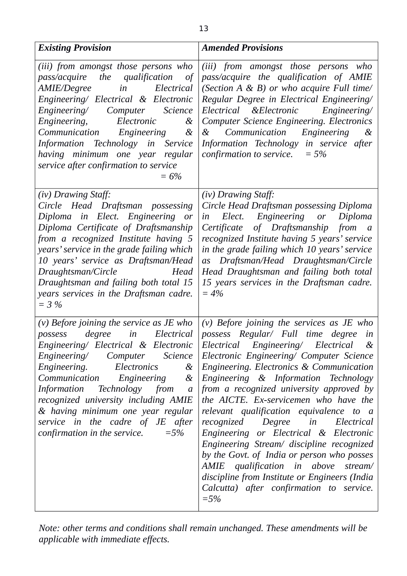| <b>Existing Provision</b>                                                                                                                                                                                                                                                                                                                                                                                                        | <b>Amended Provisions</b>                                                                                                                                                                                                                                                                                                                                                                                                                                                                                                                                                                                                                                                                                                                                      |
|----------------------------------------------------------------------------------------------------------------------------------------------------------------------------------------------------------------------------------------------------------------------------------------------------------------------------------------------------------------------------------------------------------------------------------|----------------------------------------------------------------------------------------------------------------------------------------------------------------------------------------------------------------------------------------------------------------------------------------------------------------------------------------------------------------------------------------------------------------------------------------------------------------------------------------------------------------------------------------------------------------------------------------------------------------------------------------------------------------------------------------------------------------------------------------------------------------|
| (iii) from amongst those persons who<br>pass/acquire the qualification of<br>Electrical<br>AMIE/Degree<br>in<br>Engineering/ Electrical & Electronic<br>Engineering/ Computer<br><i>Science</i><br>Engineering,<br>Electronic<br>$\&$<br>Engineering &<br>Communication<br>Information Technology in Service<br>having minimum one year regular<br>service after confirmation to service<br>$= 6\%$                              | (iii) from amongst those persons who<br>pass/acquire the qualification of AMIE<br>(Section $A \& B$ ) or who acquire Full time/<br>Regular Degree in Electrical Engineering/<br>Electrical & Electronic Engineering/<br><b>Computer Science Engineering. Electronics</b><br>Communication Engineering<br>$\&$<br>$\&$<br>Information Technology in service after<br>confirmation to service. $= 5\%$                                                                                                                                                                                                                                                                                                                                                           |
| (iv) Drawing Staff:<br>Circle Head Draftsman possessing<br>Diploma in Elect. Engineering or<br>Diploma Certificate of Draftsmanship<br>from a recognized Institute having 5<br>years' service in the grade failing which<br>10 years' service as Draftsman/Head<br>Head<br>Draughtsman/Circle<br>Draughtsman and failing both total 15<br>years services in the Draftsman cadre.<br>$=$ 3 %                                      | (iv) Drawing Staff:<br>Circle Head Draftsman possessing Diploma<br>Elect. Engineering or<br>Diploma<br>in<br>Certificate of Draftsmanship from a<br>recognized Institute having 5 years' service<br>in the grade failing which 10 years' service<br>as Draftsman/Head Draughtsman/Circle<br>Head Draughtsman and failing both total<br>15 years services in the Draftsman cadre.<br>$= 4\%$                                                                                                                                                                                                                                                                                                                                                                    |
| $(v)$ Before joining the service as JE who<br>Electrical<br>degree<br>possess<br>in<br>Computer<br>Science<br>Engineering/<br>Engineering.<br>Electronics<br>$\&$<br>Communication<br>Engineering<br>$\&$<br><b>Information</b><br>Technology from<br>$\boldsymbol{a}$<br>recognized university including AMIE<br>& having minimum one year regular<br>service in the cadre of JE after<br>$=5%$<br>confirmation in the service. | (v) Before joining the services as $JE$ who<br>possess Regular/ Full time degree<br>in<br>Engineering/ Electrical & Electronic Electrical Engineering/ Electrical &<br>Electronic Engineering/ Computer Science<br>Engineering. Electronics & Communication<br>Engineering & Information Technology<br>from a recognized university approved by<br>the AICTE. Ex-servicemen who have the<br>relevant qualification equivalence to a<br>Degree in Electrical<br>recognized<br>Engineering or Electrical & Electronic<br>Engineering Stream/ discipline recognized<br>by the Govt. of India or person who posses<br>AMIE qualification in above<br>stream/<br>discipline from Institute or Engineers (India<br>Calcutta) after confirmation to service.<br>$=5%$ |

*Note: other terms and conditions shall remain unchanged. These amendments will be applicable with immediate effects.*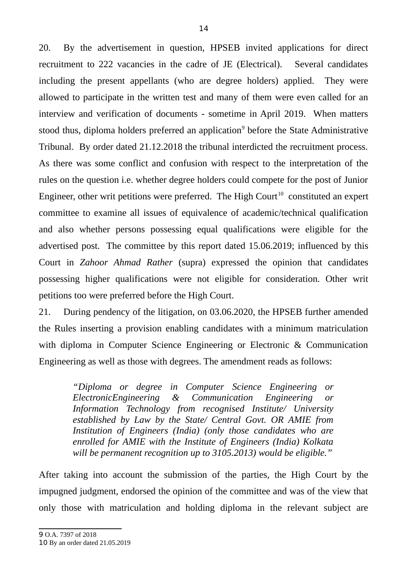20. By the advertisement in question, HPSEB invited applications for direct recruitment to 222 vacancies in the cadre of JE (Electrical). Several candidates including the present appellants (who are degree holders) applied. They were allowed to participate in the written test and many of them were even called for an interview and verification of documents - sometime in April 2019. When matters stood thus, diploma holders preferred an application<sup>[9](#page-13-0)</sup> before the State Administrative Tribunal. By order dated 21.12.2018 the tribunal interdicted the recruitment process. As there was some conflict and confusion with respect to the interpretation of the rules on the question i.e. whether degree holders could compete for the post of Junior Engineer, other writ petitions were preferred. The High Court<sup>[10](#page-13-1)</sup> constituted an expert committee to examine all issues of equivalence of academic/technical qualification and also whether persons possessing equal qualifications were eligible for the advertised post. The committee by this report dated 15.06.2019; influenced by this Court in *Zahoor Ahmad Rather* (supra) expressed the opinion that candidates possessing higher qualifications were not eligible for consideration. Other writ petitions too were preferred before the High Court.

21. During pendency of the litigation, on 03.06.2020, the HPSEB further amended the Rules inserting a provision enabling candidates with a minimum matriculation with diploma in Computer Science Engineering or Electronic & Communication Engineering as well as those with degrees. The amendment reads as follows:

> *"Diploma or degree in Computer Science Engineering or ElectronicEngineering & Communication Engineering or Information Technology from recognised Institute/ University established by Law by the State/ Central Govt. OR AMIE from Institution of Engineers (India) (only those candidates who are enrolled for AMIE with the Institute of Engineers (India) Kolkata will be permanent recognition up to 3105.2013) would be eligible."*

<span id="page-13-1"></span><span id="page-13-0"></span>After taking into account the submission of the parties, the High Court by the impugned judgment, endorsed the opinion of the committee and was of the view that only those with matriculation and holding diploma in the relevant subject are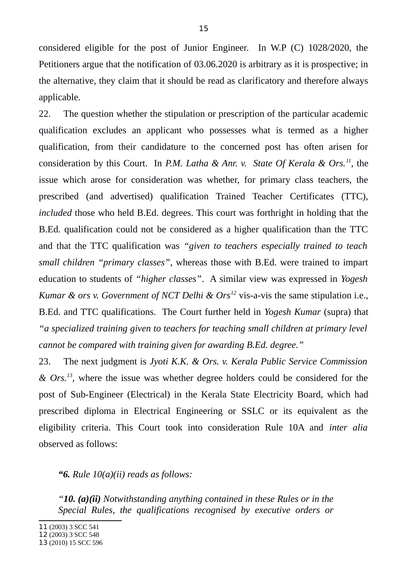considered eligible for the post of Junior Engineer. In W.P (C) 1028/2020, the Petitioners argue that the notification of 03.06.2020 is arbitrary as it is prospective; in the alternative, they claim that it should be read as clarificatory and therefore always applicable.

22. The question whether the stipulation or prescription of the particular academic qualification excludes an applicant who possesses what is termed as a higher qualification, from their candidature to the concerned post has often arisen for consideration by this Court. In *P.M. Latha & Anr. v. State Of Kerala & Ors.<sup>[11](#page-14-0)</sup>, the* issue which arose for consideration was whether, for primary class teachers, the prescribed (and advertised) qualification Trained Teacher Certificates (TTC), *included* those who held B.Ed. degrees. This court was forthright in holding that the B.Ed. qualification could not be considered as a higher qualification than the TTC and that the TTC qualification was *"given to teachers especially trained to teach small children "primary classes"*, whereas those with B.Ed. were trained to impart education to students of *"higher classes"*. A similar view was expressed in *Yogesh Kumar & ors v. Government of NCT Delhi & Ors[12](#page-14-1)* vis-a-vis the same stipulation i.e., B.Ed. and TTC qualifications. The Court further held in *Yogesh Kumar* (supra) that *"a specialized training given to teachers for teaching small children at primary level cannot be compared with training given for awarding B.Ed. degree."* 

23. The next judgment is *Jyoti K.K. & Ors. v. Kerala Public Service Commission & Ors.[13](#page-14-2)*, where the issue was whether degree holders could be considered for the post of Sub-Engineer (Electrical) in the Kerala State Electricity Board, which had prescribed diploma in Electrical Engineering or SSLC or its equivalent as the eligibility criteria. This Court took into consideration Rule 10A and *inter alia* observed as follows:

*"6. Rule 10(a)(ii) reads as follows:*

*"10. (a)(ii) Notwithstanding anything contained in these Rules or in the Special Rules, the qualifications recognised by executive orders or*

<span id="page-14-0"></span><sup>11</sup> (2003) 3 SCC 541

<span id="page-14-1"></span><sup>12</sup> (2003) 3 SCC 548

<span id="page-14-2"></span><sup>13</sup> (2010) 15 SCC 596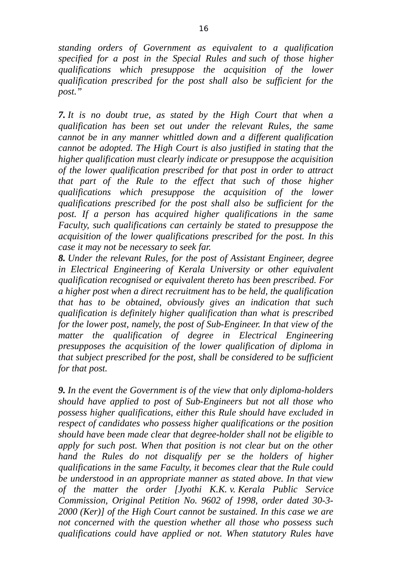*standing orders of Government as equivalent to a qualification specified for a post in the Special Rules and such of those higher qualifications which presuppose the acquisition of the lower qualification prescribed for the post shall also be sufficient for the post."*

*7. It is no doubt true, as stated by the High Court that when a qualification has been set out under the relevant Rules, the same cannot be in any manner whittled down and a different qualification cannot be adopted. The High Court is also justified in stating that the higher qualification must clearly indicate or presuppose the acquisition of the lower qualification prescribed for that post in order to attract that part of the Rule to the effect that such of those higher qualifications which presuppose the acquisition of the lower qualifications prescribed for the post shall also be sufficient for the post. If a person has acquired higher qualifications in the same Faculty, such qualifications can certainly be stated to presuppose the acquisition of the lower qualifications prescribed for the post. In this case it may not be necessary to seek far.*

*8. Under the relevant Rules, for the post of Assistant Engineer, degree in Electrical Engineering of Kerala University or other equivalent qualification recognised or equivalent thereto has been prescribed. For a higher post when a direct recruitment has to be held, the qualification that has to be obtained, obviously gives an indication that such qualification is definitely higher qualification than what is prescribed for the lower post, namely, the post of Sub-Engineer. In that view of the matter the qualification of degree in Electrical Engineering presupposes the acquisition of the lower qualification of diploma in that subject prescribed for the post, shall be considered to be sufficient for that post.*

*9. In the event the Government is of the view that only diploma-holders should have applied to post of Sub-Engineers but not all those who possess higher qualifications, either this Rule should have excluded in respect of candidates who possess higher qualifications or the position should have been made clear that degree-holder shall not be eligible to apply for such post. When that position is not clear but on the other hand the Rules do not disqualify per se the holders of higher qualifications in the same Faculty, it becomes clear that the Rule could be understood in an appropriate manner as stated above. In that view of the matter the order [Jyothi K.K. v. Kerala Public Service Commission, Original Petition No. 9602 of 1998, order dated 30-3- 2000 (Ker)] of the High Court cannot be sustained. In this case we are not concerned with the question whether all those who possess such qualifications could have applied or not. When statutory Rules have*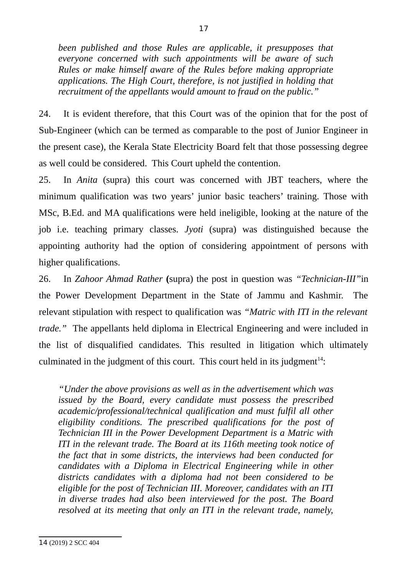*been published and those Rules are applicable, it presupposes that everyone concerned with such appointments will be aware of such Rules or make himself aware of the Rules before making appropriate applications. The High Court, therefore, is not justified in holding that recruitment of the appellants would amount to fraud on the public."*

24. It is evident therefore, that this Court was of the opinion that for the post of Sub-Engineer (which can be termed as comparable to the post of Junior Engineer in the present case), the Kerala State Electricity Board felt that those possessing degree as well could be considered. This Court upheld the contention.

25. In *Anita* (supra) this court was concerned with JBT teachers, where the minimum qualification was two years' junior basic teachers' training. Those with MSc, B.Ed. and MA qualifications were held ineligible, looking at the nature of the job i.e. teaching primary classes. *Jyoti* (supra) was distinguished because the appointing authority had the option of considering appointment of persons with higher qualifications.

26. In *Zahoor Ahmad Rather* **(**supra) the post in question was *"Technician-III"*in the Power Development Department in the State of Jammu and Kashmir. The relevant stipulation with respect to qualification was *"Matric with ITI in the relevant trade."* The appellants held diploma in Electrical Engineering and were included in the list of disqualified candidates. This resulted in litigation which ultimately culminated in the judgment of this court. This court held in its judgment<sup>[14](#page-16-0)</sup>:

<span id="page-16-0"></span>*"Under the above provisions as well as in the advertisement which was issued by the Board, every candidate must possess the prescribed academic/professional/technical qualification and must fulfil all other eligibility conditions. The prescribed qualifications for the post of Technician III in the Power Development Department is a Matric with ITI in the relevant trade. The Board at its 116th meeting took notice of the fact that in some districts, the interviews had been conducted for candidates with a Diploma in Electrical Engineering while in other districts candidates with a diploma had not been considered to be eligible for the post of Technician III. Moreover, candidates with an ITI in diverse trades had also been interviewed for the post. The Board resolved at its meeting that only an ITI in the relevant trade, namely,*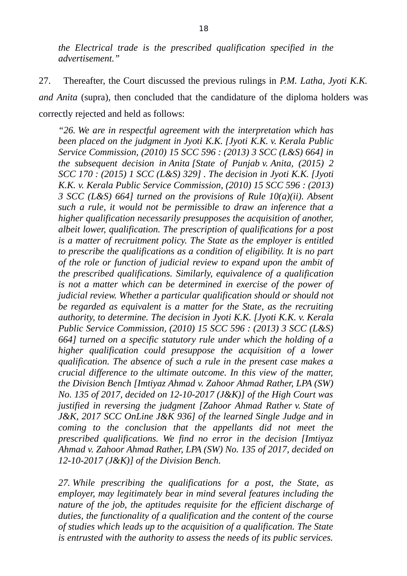*the Electrical trade is the prescribed qualification specified in the advertisement."*

27. Thereafter, the Court discussed the previous rulings in *P.M. Latha, Jyoti K.K. and Anita* (supra), then concluded that the candidature of the diploma holders was correctly rejected and held as follows:

*"26. We are in respectful agreement with the interpretation which has been placed on the judgment in Jyoti K.K. [Jyoti K.K. v. Kerala Public Service Commission, (2010) 15 SCC 596 : (2013) 3 SCC (L&S) 664] in the subsequent decision in Anita [State of Punjab v. Anita, (2015) 2 SCC 170 : (2015) 1 SCC (L&S) 329] . The decision in Jyoti K.K. [Jyoti K.K. v. Kerala Public Service Commission, (2010) 15 SCC 596 : (2013) 3 SCC (L&S) 664] turned on the provisions of Rule 10(a)(ii). Absent such a rule, it would not be permissible to draw an inference that a higher qualification necessarily presupposes the acquisition of another, albeit lower, qualification. The prescription of qualifications for a post is a matter of recruitment policy. The State as the employer is entitled to prescribe the qualifications as a condition of eligibility. It is no part of the role or function of judicial review to expand upon the ambit of the prescribed qualifications. Similarly, equivalence of a qualification is not a matter which can be determined in exercise of the power of judicial review. Whether a particular qualification should or should not be regarded as equivalent is a matter for the State, as the recruiting authority, to determine. The decision in Jyoti K.K. [Jyoti K.K. v. Kerala Public Service Commission, (2010) 15 SCC 596 : (2013) 3 SCC (L&S) 664] turned on a specific statutory rule under which the holding of a higher qualification could presuppose the acquisition of a lower qualification. The absence of such a rule in the present case makes a crucial difference to the ultimate outcome. In this view of the matter, the Division Bench [Imtiyaz Ahmad v. Zahoor Ahmad Rather, LPA (SW) No. 135 of 2017, decided on 12-10-2017 (J&K)] of the High Court was justified in reversing the judgment [Zahoor Ahmad Rather v. State of J&K, 2017 SCC OnLine J&K 936] of the learned Single Judge and in coming to the conclusion that the appellants did not meet the prescribed qualifications. We find no error in the decision [Imtiyaz Ahmad v. Zahoor Ahmad Rather, LPA (SW) No. 135 of 2017, decided on 12-10-2017 (J&K)] of the Division Bench.*

*27. While prescribing the qualifications for a post, the State, as employer, may legitimately bear in mind several features including the nature of the job, the aptitudes requisite for the efficient discharge of duties, the functionality of a qualification and the content of the course of studies which leads up to the acquisition of a qualification. The State is entrusted with the authority to assess the needs of its public services.*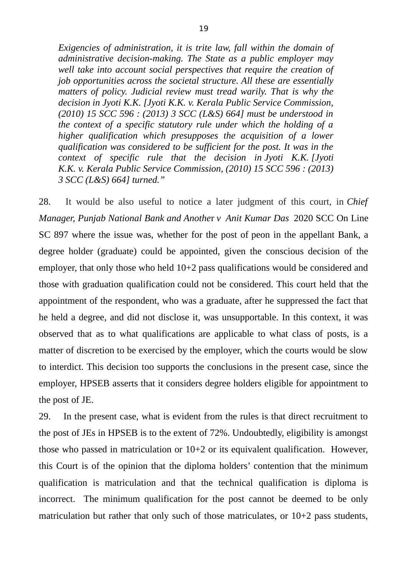*Exigencies of administration, it is trite law, fall within the domain of administrative decision-making. The State as a public employer may well take into account social perspectives that require the creation of job opportunities across the societal structure. All these are essentially matters of policy. Judicial review must tread warily. That is why the decision in Jyoti K.K. [Jyoti K.K. v. Kerala Public Service Commission, (2010) 15 SCC 596 : (2013) 3 SCC (L&S) 664] must be understood in the context of a specific statutory rule under which the holding of a higher qualification which presupposes the acquisition of a lower qualification was considered to be sufficient for the post. It was in the context of specific rule that the decision in Jyoti K.K. [Jyoti K.K. v. Kerala Public Service Commission, (2010) 15 SCC 596 : (2013) 3 SCC (L&S) 664] turned."*

28. It would be also useful to notice a later judgment of this court, in *Chief Manager, Punjab National Bank and Anothe*r *v Anit Kumar Das* 2020 SCC On Line SC 897 where the issue was, whether for the post of peon in the appellant Bank, a degree holder (graduate) could be appointed, given the conscious decision of the employer, that only those who held 10+2 pass qualifications would be considered and those with graduation qualification could not be considered. This court held that the appointment of the respondent, who was a graduate, after he suppressed the fact that he held a degree, and did not disclose it, was unsupportable. In this context, it was observed that as to what qualifications are applicable to what class of posts, is a matter of discretion to be exercised by the employer, which the courts would be slow to interdict. This decision too supports the conclusions in the present case, since the employer, HPSEB asserts that it considers degree holders eligible for appointment to the post of JE.

29. In the present case, what is evident from the rules is that direct recruitment to the post of JEs in HPSEB is to the extent of 72%. Undoubtedly, eligibility is amongst those who passed in matriculation or 10+2 or its equivalent qualification. However, this Court is of the opinion that the diploma holders' contention that the minimum qualification is matriculation and that the technical qualification is diploma is incorrect. The minimum qualification for the post cannot be deemed to be only matriculation but rather that only such of those matriculates, or 10+2 pass students,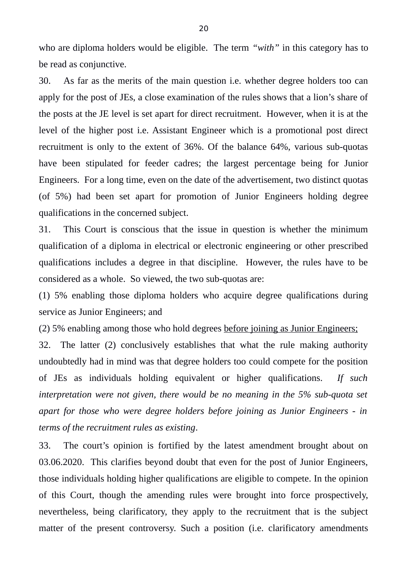who are diploma holders would be eligible. The term *"with"* in this category has to be read as conjunctive.

30. As far as the merits of the main question i.e. whether degree holders too can apply for the post of JEs, a close examination of the rules shows that a lion's share of the posts at the JE level is set apart for direct recruitment. However, when it is at the level of the higher post i.e. Assistant Engineer which is a promotional post direct recruitment is only to the extent of 36%. Of the balance 64%, various sub-quotas have been stipulated for feeder cadres; the largest percentage being for Junior Engineers. For a long time, even on the date of the advertisement, two distinct quotas (of 5%) had been set apart for promotion of Junior Engineers holding degree qualifications in the concerned subject.

31. This Court is conscious that the issue in question is whether the minimum qualification of a diploma in electrical or electronic engineering or other prescribed qualifications includes a degree in that discipline. However, the rules have to be considered as a whole. So viewed, the two sub-quotas are:

(1) 5% enabling those diploma holders who acquire degree qualifications during service as Junior Engineers; and

(2) 5% enabling among those who hold degrees before joining as Junior Engineers;

32. The latter (2) conclusively establishes that what the rule making authority undoubtedly had in mind was that degree holders too could compete for the position of JEs as individuals holding equivalent or higher qualifications. *If such interpretation were not given, there would be no meaning in the 5% sub-quota set apart for those who were degree holders before joining as Junior Engineers - in terms of the recruitment rules as existing*.

33. The court's opinion is fortified by the latest amendment brought about on 03.06.2020. This clarifies beyond doubt that even for the post of Junior Engineers, those individuals holding higher qualifications are eligible to compete. In the opinion of this Court, though the amending rules were brought into force prospectively, nevertheless, being clarificatory, they apply to the recruitment that is the subject matter of the present controversy. Such a position (i.e. clarificatory amendments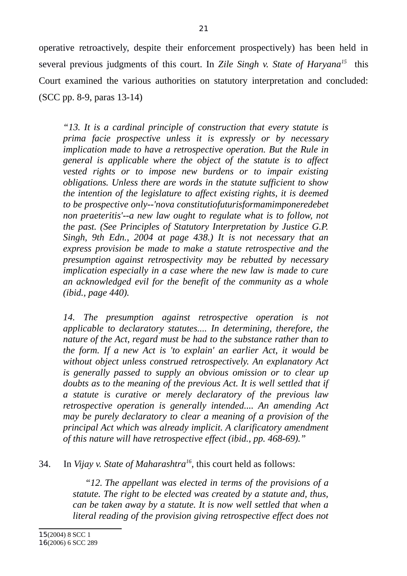operative retroactively, despite their enforcement prospectively) has been held in several previous judgments of this court. In *Zile Singh v. State of Haryana[15](#page-20-0)* this Court examined the various authorities on statutory interpretation and concluded: (SCC pp. 8-9, paras 13-14)

*"13. It is a cardinal principle of construction that every statute is prima facie prospective unless it is expressly or by necessary implication made to have a retrospective operation. But the Rule in general is applicable where the object of the statute is to affect vested rights or to impose new burdens or to impair existing obligations. Unless there are words in the statute sufficient to show the intention of the legislature to affect existing rights, it is deemed to be prospective only--'nova constitutiofuturisformamimponeredebet non praeteritis'--a new law ought to regulate what is to follow, not the past. (See Principles of Statutory Interpretation by Justice G.P. Singh, 9th Edn., 2004 at page 438.) It is not necessary that an express provision be made to make a statute retrospective and the presumption against retrospectivity may be rebutted by necessary implication especially in a case where the new law is made to cure an acknowledged evil for the benefit of the community as a whole (ibid., page 440).*

*14. The presumption against retrospective operation is not applicable to declaratory statutes.... In determining, therefore, the nature of the Act, regard must be had to the substance rather than to the form. If a new Act is 'to explain' an earlier Act, it would be without object unless construed retrospectively. An explanatory Act is generally passed to supply an obvious omission or to clear up doubts as to the meaning of the previous Act. It is well settled that if a statute is curative or merely declaratory of the previous law retrospective operation is generally intended.... An amending Act may be purely declaratory to clear a meaning of a provision of the principal Act which was already implicit. A clarificatory amendment of this nature will have retrospective effect (ibid., pp. 468-69)."*

# 34. In *Vijay v. State of Maharashtra[16](#page-20-1)* , this court held as follows:

<span id="page-20-1"></span><span id="page-20-0"></span>*"12. The appellant was elected in terms of the provisions of a statute. The right to be elected was created by a statute and, thus, can be taken away by a statute. It is now well settled that when a literal reading of the provision giving retrospective effect does not*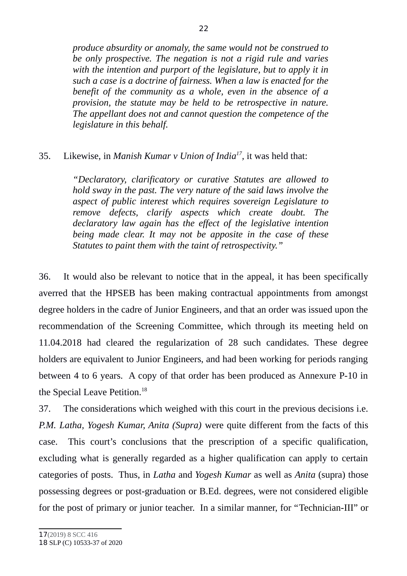*produce absurdity or anomaly, the same would not be construed to be only prospective. The negation is not a rigid rule and varies with the intention and purport of the legislature, but to apply it in such a case is a doctrine of fairness. When a law is enacted for the benefit of the community as a whole, even in the absence of a provision, the statute may be held to be retrospective in nature. The appellant does not and cannot question the competence of the legislature in this behalf.*

# 35. Likewise, in *Manish Kumar v Union of India[17](#page-21-0) ,* it was held that:

*"Declaratory, clarificatory or curative Statutes are allowed to hold sway in the past. The very nature of the said laws involve the aspect of public interest which requires sovereign Legislature to remove defects, clarify aspects which create doubt. The declaratory law again has the effect of the legislative intention being made clear. It may not be apposite in the case of these Statutes to paint them with the taint of retrospectivity."*

36. It would also be relevant to notice that in the appeal, it has been specifically averred that the HPSEB has been making contractual appointments from amongst degree holders in the cadre of Junior Engineers, and that an order was issued upon the recommendation of the Screening Committee, which through its meeting held on 11.04.2018 had cleared the regularization of 28 such candidates. These degree holders are equivalent to Junior Engineers, and had been working for periods ranging between 4 to 6 years. A copy of that order has been produced as Annexure P-10 in the Special Leave Petition.<sup>[18](#page-21-1)</sup>

<span id="page-21-1"></span><span id="page-21-0"></span>37. The considerations which weighed with this court in the previous decisions i.e. *P.M. Latha, Yogesh Kumar, Anita (Supra)* were quite different from the facts of this case. This court's conclusions that the prescription of a specific qualification, excluding what is generally regarded as a higher qualification can apply to certain categories of posts. Thus, in *Latha* and *Yogesh Kumar* as well as *Anita* (supra) those possessing degrees or post-graduation or B.Ed. degrees, were not considered eligible for the post of primary or junior teacher. In a similar manner, for "Technician-III" or